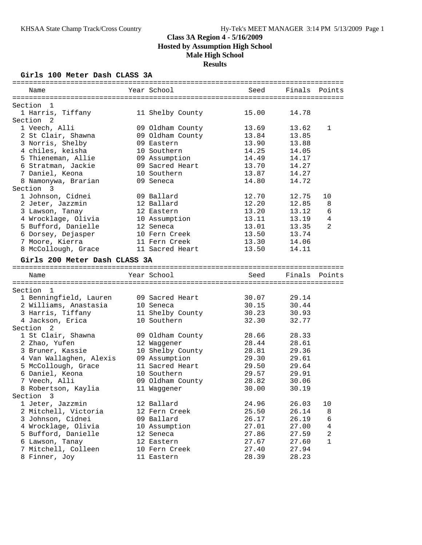### **Girls 100 Meter Dash CLASS 3A**

| Name                                 | Year School                 | Seed           | Finals         | Points         |
|--------------------------------------|-----------------------------|----------------|----------------|----------------|
|                                      |                             |                |                |                |
| Section<br>- 1                       |                             |                |                |                |
| 1 Harris, Tiffany                    | 11 Shelby County            | 15.00          | 14.78          |                |
| Section <sub>2</sub>                 |                             |                |                |                |
| 1 Veech, Alli                        | 09 Oldham County            | 13.69          | 13.62          | 1              |
| 2 St Clair, Shawna                   | 09 Oldham County            | 13.84          | 13.85          |                |
| 3 Norris, Shelby                     | 09 Eastern                  | 13.90          | 13.88          |                |
| 4 chiles, keisha                     | 10 Southern                 | 14.25          | 14.05          |                |
| 5 Thieneman, Allie                   | 09 Assumption               | 14.49          | 14.17          |                |
| 6 Stratman, Jackie                   | 09 Sacred Heart             | 13.70          | 14.27          |                |
| 7 Daniel, Keona                      | 10 Southern                 | 13.87          | 14.27          |                |
| 8 Namonywa, Brarian                  | 09 Seneca                   | 14.80          | 14.72          |                |
| Section<br>- 3                       |                             |                |                |                |
| 1 Johnson, Cidnei                    | 09 Ballard                  | 12.70          | 12.75          | 10             |
| 2 Jeter, Jazzmin                     | 12 Ballard                  | 12.20          | 12.85          | 8              |
| 3 Lawson, Tanay                      | 12 Eastern                  | 13.20          | 13.12          | 6              |
| 4 Wrocklage, Olivia                  | 10 Assumption               | 13.11          | 13.19          | $\overline{4}$ |
| 5 Bufford, Danielle                  | 12 Seneca                   | 13.01          | 13.35          | 2              |
| 6 Dorsey, Dejasper                   | 10 Fern Creek               | 13.50          | 13.74          |                |
| 7 Moore, Kierra                      | 11 Fern Creek               | 13.30          | 14.06          |                |
| 8 McCollough, Grace                  | 11 Sacred Heart             | 13.50          | 14.11          |                |
| Girls 200 Meter Dash CLASS 3A        |                             |                |                |                |
|                                      |                             |                |                |                |
| Name                                 | Year School                 | Seed           | Finals         | Points         |
| Section<br>$\mathbf{1}$              |                             |                |                |                |
| 1 Benningfield, Lauren               | 09 Sacred Heart             | 30.07          | 29.14          |                |
| 2 Williams, Anastasia                | 10 Seneca                   | 30.15          | 30.44          |                |
| 3 Harris, Tiffany                    | 11 Shelby County            | 30.23          | 30.93          |                |
| 4 Jackson, Erica                     | 10 Southern                 | 32.30          | 32.77          |                |
| Section <sub>2</sub>                 |                             |                |                |                |
| 1 St Clair, Shawna                   | 09 Oldham County            | 28.66          | 28.33          |                |
| 2 Zhao, Yufen                        | 12 Waggener                 | 28.44          | 28.61          |                |
| 3 Bruner, Kassie                     | 10 Shelby County            | 28.81          | 29.36          |                |
| 4 Van Wallaghen, Alexis              | 09 Assumption               | 29.30          | 29.61          |                |
|                                      | 11 Sacred Heart             | 29.50          | 29.64          |                |
| 5 McCollough, Grace                  | 10 Southern                 | 29.57          |                |                |
| 6 Daniel, Keona<br>7 Veech, Alli     | 09 Oldham County            | 28.82          | 29.91<br>30.06 |                |
|                                      |                             |                |                |                |
| 8 Robertson, Kaylia                  | 11 Waggener                 | 30.00          | 30.19          |                |
| Section 3                            |                             |                |                |                |
| 1 Jeter, Jazzmin                     | 12 Ballard                  | 24.96          | 26.03          | 10             |
| 2 Mitchell, Victoria                 | 12 Fern Creek               | 25.50          | 26.14          | 8              |
| 3 Johnson, Cidnei                    | 09 Ballard                  | 26.17          | 26.19          | 6<br>$\,4$     |
|                                      |                             |                |                |                |
| 4 Wrocklage, Olivia                  | 10 Assumption               | 27.01          | 27.00          |                |
| 5 Bufford, Danielle                  | 12 Seneca                   | 27.86          | 27.59          | 2              |
| 6 Lawson, Tanay                      | 12 Eastern                  | 27.67          | 27.60          | 1              |
| 7 Mitchell, Colleen<br>8 Finner, Joy | 10 Fern Creek<br>11 Eastern | 27.40<br>28.39 | 27.94<br>28.23 |                |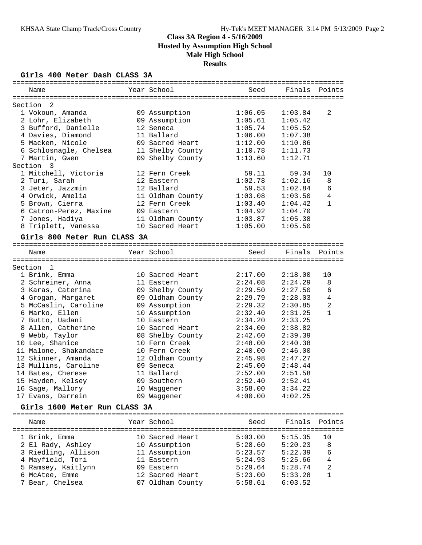### **Girls 400 Meter Dash CLASS 3A**

| Name                          | Year School             | Seed    | Finals             | Points         |
|-------------------------------|-------------------------|---------|--------------------|----------------|
| Section<br>2                  |                         |         |                    |                |
| 1 Vokoun, Amanda              | 09 Assumption           | 1:06.05 | 1:03.84            | 2              |
| 2 Lohr, Elizabeth             | 09 Assumption           | 1:05.61 | 1:05.42            |                |
| 3 Bufford, Danielle           | 12 Seneca               | 1:05.74 | 1:05.52            |                |
| 4 Davies, Diamond             | 11 Ballard              | 1:06.00 | 1:07.38            |                |
| 5 Macken, Nicole              | 09 Sacred Heart         | 1:12.00 | 1:10.86            |                |
| 6 Schlosnagle, Chelsea        | 11 Shelby County        | 1:10.78 | 1:11.73            |                |
| 7 Martin, Gwen                | 09 Shelby County        | 1:13.60 | 1:12.71            |                |
| Section 3                     |                         |         |                    |                |
|                               |                         |         |                    |                |
| 1 Mitchell, Victoria          | 12 Fern Creek           | 59.11   | 59.34              | 10             |
| 2 Turi, Sarah                 | 12 Eastern              | 1:02.78 | 1:02.16            | 8              |
| 3 Jeter, Jazzmin              | 12 Ballard              | 59.53   | 1:02.84            | 6              |
| 4 Orwick, Amelia              | 11 Oldham County        | 1:03.08 | 1:03.50            | $\overline{4}$ |
| 5 Brown, Cierra               | 12 Fern Creek           | 1:03.40 | 1:04.42            | $\mathbf{1}$   |
| 6 Catron-Perez, Maxine        | 09 Eastern              | 1:04.92 | 1:04.70            |                |
| 7 Jones, Hadiya               | 11 Oldham County        | 1:03.87 | 1:05.38            |                |
| 8 Triplett, Vanessa           | 10 Sacred Heart         | 1:05.00 | 1:05.50            |                |
| Girls 800 Meter Run CLASS 3A  |                         |         |                    |                |
|                               |                         |         |                    |                |
| Name                          | Year School             | Seed    | Finals Points      |                |
| Section 1                     |                         |         |                    |                |
| 1 Brink, Emma                 | 10 Sacred Heart         | 2:17.00 | 2:18.00            | 10             |
| 2 Schreiner, Anna             | 11 Eastern              | 2:24.08 | 2:24.29            | 8              |
| 3 Karas, Caterina             | 09 Shelby County        | 2:29.50 | 2:27.50            | 6              |
| 4 Grogan, Margaret            | 09 Oldham County        | 2:29.79 | 2:28.03            | $\overline{4}$ |
| 5 McCaslin, Caroline          | 09 Assumption           | 2:29.32 | 2:30.85            | $\overline{a}$ |
| 6 Marko, Ellen                | 10 Assumption           | 2:32.40 | 2:31.25            | $\mathbf{1}$   |
| 7 Butto, Uadani               | 10 Eastern              | 2:34.20 | 2:33.25            |                |
| 8 Allen, Catherine            | 10 Sacred Heart         | 2:34.00 | 2:38.82            |                |
| 9 Webb, Taylor                | 08 Shelby County        | 2:42.60 | 2:39.39            |                |
| 10 Lee, Shanice               | 10 Fern Creek           | 2:48.00 | 2:40.38            |                |
| 11 Malone, Shakandace         | 10 Fern Creek           | 2:40.00 | 2:46.00            |                |
| 12 Skinner, Amanda            | 12 Oldham County        | 2:45.98 | 2:47.27            |                |
|                               |                         |         |                    |                |
| 13 Mullins, Caroline          | 09 Seneca<br>11 Ballard | 2:45.00 | 2:48.44            |                |
| 14 Bates, Cherese             |                         | 2:52.00 | 2:51.58<br>2:52.41 |                |
| 15 Hayden, Kelsey             | 09 Southern             | 2:52.40 |                    |                |
| 16 Sage, Mallory              | 10 Waggener             | 3:58.00 | 3:34.22            |                |
| 17 Evans, Darrein             | 09 Waggener             | 4:00.00 | 4:02.25            |                |
| Girls 1600 Meter Run CLASS 3A |                         |         |                    |                |
|                               |                         |         |                    |                |
| Name                          | Year School             | Seed    | Finals             | Points         |
|                               |                         |         |                    |                |
| 1 Brink, Emma                 | 10 Sacred Heart         | 5:03.00 | 5:15.35            | 10             |
| 2 El Rady, Ashley             | 10 Assumption           | 5:28.60 | 5:20.23            | 8              |
| 3 Riedling, Allison           | 11 Assumption           | 5:23.57 | 5:22.39            | 6              |
| 4 Mayfield, Tori              | 11 Eastern              | 5:24.93 | 5:25.66            | $\overline{4}$ |
| 5 Ramsey, Kaitlynn            | 09 Eastern              | 5:29.64 | 5:28.74            | 2              |
| 6 McAtee, Emme                | 12 Sacred Heart         | 5:23.00 | 5:33.28            | 1              |
| 7 Bear, Chelsea               | 07 Oldham County        | 5:58.61 | 6:03.52            |                |
|                               |                         |         |                    |                |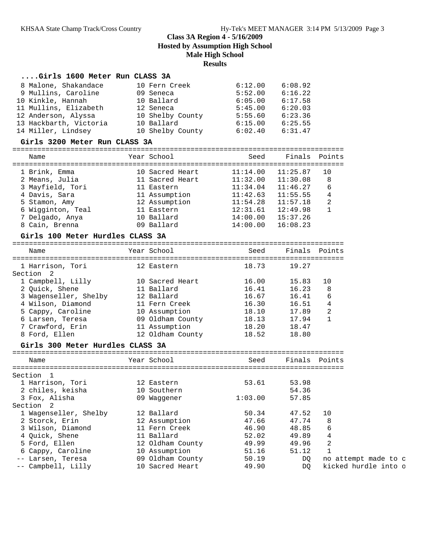## **....Girls 1600 Meter Run CLASS 3A**

| 8 Malone, Shakandace 10 Fern Creek                                                                                                                                                                                  |                                           | 6:12.00               | 6:08.92  |                      |
|---------------------------------------------------------------------------------------------------------------------------------------------------------------------------------------------------------------------|-------------------------------------------|-----------------------|----------|----------------------|
| 9 Mullins, Caroline 09 Seneca                                                                                                                                                                                       |                                           | $5:52.00$ $6:16.22$   |          |                      |
| 10 Kinkle, Hannah                                                                                                                                                                                                   | 10 Ballard                                | $6:05.00$ $6:17.58$   |          |                      |
|                                                                                                                                                                                                                     |                                           |                       |          |                      |
|                                                                                                                                                                                                                     |                                           |                       |          |                      |
|                                                                                                                                                                                                                     |                                           |                       |          |                      |
| 11 Mullins, Elizabeth 12 Seneca 5:45.00 6:20.03<br>12 Anderson, Alyssa 10 Shelby County 5:55.60 6:23.36<br>13 Hackbarth, Victoria 10 Ballard 6:15.00 6:25.55<br>14 Miller, Lindsey 10 Shelby County 6:02.40 6:31.47 |                                           |                       |          |                      |
| Girls 3200 Meter Run CLASS 3A                                                                                                                                                                                       |                                           |                       |          |                      |
| Name                                                                                                                                                                                                                | Year School and the School and the School | Seed                  |          | Finals Points        |
|                                                                                                                                                                                                                     |                                           |                       |          |                      |
| 1 Brink, Emma 10 Sacred Heart 11:14.00 11:25.87<br>2 Means, Julia 11 Sacred Heart 11:32.00 11:30.08                                                                                                                 |                                           |                       |          | 10                   |
|                                                                                                                                                                                                                     |                                           |                       |          | 8                    |
| 3 Mayfield, Tori 11 Eastern                                                                                                                                                                                         |                                           | 11:34.04              | 11:46.27 | 6                    |
|                                                                                                                                                                                                                     |                                           | 11:42.63              | 11:55.55 | 4                    |
| 4 Davis, Sara 11 Assumption<br>5 Stamon, Amy 12 Assumption<br>6 Wigginton, Teal 11 Eastern                                                                                                                          |                                           | $11:54.28$ $11:57.18$ |          | 2                    |
| 7 Delgado, Anya               10 Ballard               14:00.00   15:37.26                                                                                                                                          |                                           | $12:31.61$ $12:49.98$ |          | $\mathbf{1}$         |
|                                                                                                                                                                                                                     | 09 Ballard                                |                       |          |                      |
| 8 Cain, Brenna                                                                                                                                                                                                      |                                           | $14:00.00$ $16:08.23$ |          |                      |
| Girls 100 Meter Hurdles CLASS 3A                                                                                                                                                                                    |                                           |                       |          |                      |
| Name                                                                                                                                                                                                                | Year School                               | Seed                  |          | Finals Points        |
| 1 Harrison, Tori 12 Eastern                                                                                                                                                                                         |                                           | 18.73                 | 19.27    |                      |
| Section 2                                                                                                                                                                                                           |                                           |                       |          |                      |
|                                                                                                                                                                                                                     |                                           | 16.00                 | 15.83    | 10                   |
| 1 Campbell, Lilly 10 Sacred Heart<br>2 Quick, Shene 11 Ballard                                                                                                                                                      |                                           | 16.41                 | 16.23    | 8                    |
| 3 Wagenseller, Shelby 12 Ballard                                                                                                                                                                                    |                                           | 16.67                 | 16.41    | 6                    |
| $\frac{4 \text{ Wilson}}{2 \pi}$ , Diamond                                                                                                                                                                          | 11 Fern Creek                             | 16.30                 | 16.51    | 4                    |
| 5 Cappy, Caroline 10 Assumption                                                                                                                                                                                     |                                           | 18.10                 | 17.89    | 2                    |
| 6 Larsen, Teresa 69 Oldham County 18.13 17.94                                                                                                                                                                       |                                           |                       |          | 1                    |
| 7 Crawford, Erin 11 Assumption                                                                                                                                                                                      |                                           | 18.20   18.47         |          |                      |
| 8 Ford, Ellen                                                                                                                                                                                                       | 12 Oldham County                          | 18.52                 | 18.80    |                      |
| Girls 300 Meter Hurdles CLASS 3A                                                                                                                                                                                    |                                           |                       |          |                      |
| Name                                                                                                                                                                                                                | Year School                               | Seed                  |          | Finals Points        |
|                                                                                                                                                                                                                     |                                           |                       |          |                      |
| Section 1                                                                                                                                                                                                           |                                           |                       |          |                      |
| 1 Harrison, Tori                                                                                                                                                                                                    | 12 Eastern                                | 53.61                 | 53.98    |                      |
| 2 chiles, keisha                                                                                                                                                                                                    | 10 Southern                               |                       | 54.36    |                      |
| 3 Fox, Alisha<br>Section 2                                                                                                                                                                                          | 09 Waggener                               | 1:03.00               | 57.85    |                      |
| 1 Wagenseller, Shelby                                                                                                                                                                                               | 12 Ballard                                | 50.34                 | 47.52    | 10                   |
| 2 Storck, Erin                                                                                                                                                                                                      | 12 Assumption                             | 47.66                 | 47.74    | 8                    |
| 3 Wilson, Diamond                                                                                                                                                                                                   | 11 Fern Creek                             | 46.90                 | 48.85    | 6                    |
| 4 Quick, Shene                                                                                                                                                                                                      | 11 Ballard                                | 52.02                 | 49.89    | 4                    |
| 5 Ford, Ellen                                                                                                                                                                                                       | 12 Oldham County                          | 49.99                 | 49.96    | 2                    |
| 6 Cappy, Caroline                                                                                                                                                                                                   | 10 Assumption                             | 51.16                 | 51.12    | $\mathbf{1}$         |
| -- Larsen, Teresa                                                                                                                                                                                                   | 09 Oldham County                          | 50.19                 | DQ       | no attempt made to c |
| -- Campbell, Lilly                                                                                                                                                                                                  | 10 Sacred Heart                           | 49.90                 | DQ       | kicked hurdle into o |
|                                                                                                                                                                                                                     |                                           |                       |          |                      |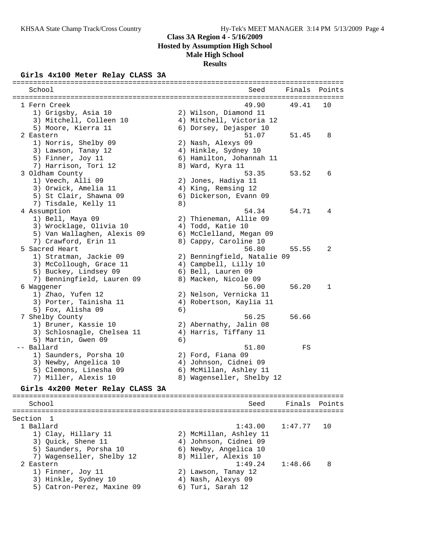## **Girls 4x100 Meter Relay CLASS 3A**

| =====================<br>School  |    | ==================================<br>Seed | Finals  | Points |
|----------------------------------|----|--------------------------------------------|---------|--------|
|                                  |    |                                            |         |        |
| 1 Fern Creek                     |    | 49.90                                      | 49.41   | 10     |
| 1) Grigsby, Asia 10              |    | 2) Wilson, Diamond 11                      |         |        |
| 3) Mitchell, Colleen 10          |    | 4) Mitchell, Victoria 12                   |         |        |
| 5) Moore, Kierra 11              |    | 6) Dorsey, Dejasper 10                     |         |        |
| 2 Eastern                        |    | 51.07                                      | 51.45   | 8      |
| 1) Norris, Shelby 09             |    | 2) Nash, Alexys 09                         |         |        |
| 3) Lawson, Tanay 12              |    | 4) Hinkle, Sydney 10                       |         |        |
| 5) Finner, Joy 11                |    | 6) Hamilton, Johannah 11                   |         |        |
| 7) Harrison, Tori 12             |    | 8) Ward, Kyra 11                           |         |        |
| 3 Oldham County                  |    | 53.35                                      | 53.52   | 6      |
| 1) Veech, Alli 09                |    | 2) Jones, Hadiya 11                        |         |        |
| 3) Orwick, Amelia 11             |    | 4) King, Remsing 12                        |         |        |
| 5) St Clair, Shawna 09           |    | 6) Dickerson, Evann 09                     |         |        |
| 7) Tisdale, Kelly 11             | 8) |                                            |         |        |
| 4 Assumption                     |    | 54.34                                      | 54.71   | 4      |
| 1) Bell, Maya 09                 |    | 2) Thieneman, Allie 09                     |         |        |
| 3) Wrocklage, Olivia 10          |    | 4) Todd, Katie 10                          |         |        |
| 5) Van Wallaghen, Alexis 09      |    | 6) McClelland, Megan 09                    |         |        |
| 7) Crawford, Erin 11             |    | 8) Cappy, Caroline 10                      |         |        |
| 5 Sacred Heart                   |    | 56.80                                      | 55.55   | 2      |
| 1) Stratman, Jackie 09           |    | 2) Benningfield, Natalie 09                |         |        |
| 3) McCollough, Grace 11          |    | 4) Campbell, Lilly 10                      |         |        |
| 5) Buckey, Lindsey 09            |    | 6) Bell, Lauren 09                         |         |        |
| 7) Benningfield, Lauren 09       |    | 8) Macken, Nicole 09                       |         |        |
| 6 Waggener                       |    | 56.00                                      | 56.20   | 1      |
| 1) Zhao, Yufen 12                |    | 2) Nelson, Vernicka 11                     |         |        |
| 3) Porter, Tainisha 11           |    | 4) Robertson, Kaylia 11                    |         |        |
| 5) Fox, Alisha 09                | 6) |                                            |         |        |
| 7 Shelby County                  |    | 56.25                                      | 56.66   |        |
| 1) Bruner, Kassie 10             |    | 2) Abernathy, Jalin 08                     |         |        |
| 3) Schlosnagle, Chelsea 11       |    | 4) Harris, Tiffany 11                      |         |        |
| 5) Martin, Gwen 09               | 6) |                                            |         |        |
| -- Ballard                       |    | 51.80                                      | FS      |        |
| 1) Saunders, Porsha 10           |    | 2) Ford, Fiana 09                          |         |        |
| 3) Newby, Angelica 10            |    | 4) Johnson, Cidnei 09                      |         |        |
| 5) Clemons, Linesha 09           |    | 6) McMillan, Ashley 11                     |         |        |
| 7) Miller, Alexis 10             |    | 8) Wagenseller, Shelby 12                  |         |        |
| Girls 4x200 Meter Relay CLASS 3A |    |                                            |         |        |
| School                           |    | Seed                                       | Finals  | Points |
|                                  |    |                                            |         |        |
| Section 1                        |    |                                            |         |        |
| 1 Ballard                        |    | 1:43.00                                    | 1:47.77 | 10     |
| 1) Clay, Hillary 11              |    | 2) McMillan, Ashley 11                     |         |        |
| 3) Quick, Shene 11               |    | 4) Johnson, Cidnei 09                      |         |        |
| 5) Saunders, Porsha 10           |    | 6) Newby, Angelica 10                      |         |        |
| 7) Wagenseller, Shelby 12        |    | 8) Miller, Alexis 10                       |         |        |
| 2 Eastern                        |    | 1:49.24                                    | 1:48.66 | 8      |
| 1) Finner, Joy 11                |    | 2) Lawson, Tanay 12                        |         |        |
| 3) Hinkle, Sydney 10             |    | 4) Nash, Alexys 09                         |         |        |
| 5) Catron-Perez, Maxine 09       |    | 6) Turi, Sarah 12                          |         |        |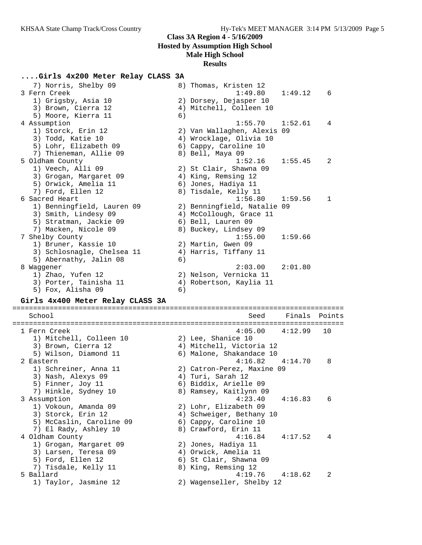### **....Girls 4x200 Meter Relay CLASS 3A**

| 7) Norris, Shelby 09       | 8) Thomas, Kristen 12              |
|----------------------------|------------------------------------|
| 3 Fern Creek               | 1:49.12<br>1:49.80<br>6            |
| 1) Grigsby, Asia 10        | 2) Dorsey, Dejasper 10             |
| 3) Brown, Cierra 12        | 4) Mitchell, Colleen 10            |
| 5) Moore, Kierra 11        | 6)                                 |
| 4 Assumption               | $1:55.70$ $1:52.61$<br>4           |
| 1) Storck, Erin 12         | 2) Van Wallaghen, Alexis 09        |
| 3) Todd, Katie 10          | 4) Wrocklage, Olivia 10            |
| 5) Lohr, Elizabeth 09      | 6) Cappy, Caroline 10              |
| 7) Thieneman, Allie 09     | 8) Bell, Maya 09                   |
| 5 Oldham County            | 1:52.16<br>1:55.45<br>2            |
| 1) Veech, Alli 09          | 2) St Clair, Shawna 09             |
| 3) Grogan, Margaret 09     | 4) King, Remsing 12                |
| 5) Orwick, Amelia 11       | 6) Jones, Hadiya 11                |
| 7) Ford, Ellen 12          | 8) Tisdale, Kelly 11               |
| 6 Sacred Heart             | 1:56.80<br>1:59.56<br>$\mathbf{1}$ |
| 1) Benningfield, Lauren 09 | 2) Benningfield, Natalie 09        |
| 3) Smith, Lindesy 09       | 4) McCollough, Grace 11            |
| 5) Stratman, Jackie 09     | 6) Bell, Lauren 09                 |
| 7) Macken, Nicole 09       | 8) Buckey, Lindsey 09              |
| 7 Shelby County            | 1:55.00<br>1:59.66                 |
| 1) Bruner, Kassie 10       | 2) Martin, Gwen 09                 |
| 3) Schlosnagle, Chelsea 11 | 4) Harris, Tiffany 11              |
| 5) Abernathy, Jalin 08     | 6)                                 |
| 8 Waqqener                 | 2:01.80<br>2:03.00                 |
| 1) Zhao, Yufen 12          | 2) Nelson, Vernicka 11             |
| 3) Porter, Tainisha 11     | 4) Robertson, Kaylia 11            |
| 5) Fox, Alisha 09          | 6)                                 |

### **Girls 4x400 Meter Relay CLASS 3A**

================================================================================ School Seed Finals Points ================================================================================ 1 Fern Creek 4:05.00 4:12.99 10 1) Mitchell, Colleen 10 2) Lee, Shanice 10 3) Brown, Cierra 12 4) Mitchell, Victoria 12 5) Wilson, Diamond 11 6) Malone, Shakandace 10 2 Eastern 4:16.82 4:14.70 8 1) Schreiner, Anna 11 2) Catron-Perez, Maxine 09 3) Nash, Alexys 09 4) Turi, Sarah 12 5) Finner, Joy 11 6) Biddix, Arielle 09 7) Hinkle, Sydney 10 8) Ramsey, Kaitlynn 09 3 Assumption 4:23.40 4:16.83 6 1) Vokoun, Amanda 09 2) Lohr, Elizabeth 09 3) Storck, Erin 12 4) Schweiger, Bethany 10 5) McCaslin, Caroline 09 6) Cappy, Caroline 10 7) El Rady, Ashley 10 8) Crawford, Erin 11 4 Oldham County 4:16.84 4:17.52 4 1) Grogan, Margaret 09 2) Jones, Hadiya 11 3) Larsen, Teresa 09 4) Orwick, Amelia 11 5) Ford, Ellen 12 6) St Clair, Shawna 09 7) Tisdale, Kelly 11  $\hphantom{i}$  8) King, Remsing 12 5 Ballard 4:19.76 4:18.62 2 1) Taylor, Jasmine 12 2) Wagenseller, Shelby 12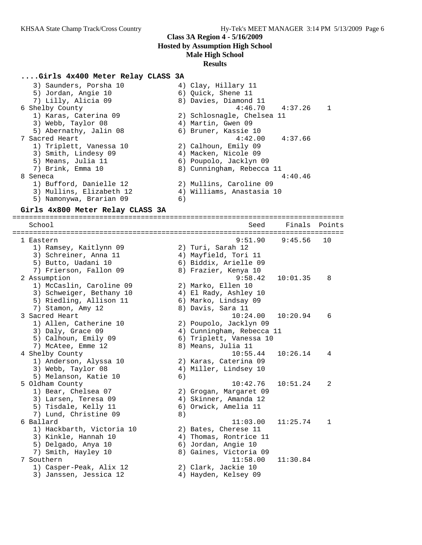### **....Girls 4x400 Meter Relay CLASS 3A**

| 4) Clay, Hillary 11                |
|------------------------------------|
| 6) Quick, Shene 11                 |
| 8) Davies, Diamond 11              |
| $4:46.70$ $4:37.26$<br>$\mathbf 1$ |
| 2) Schlosnagle, Chelsea 11         |
| 4) Martin, Gwen 09                 |
| 6) Bruner, Kassie 10               |
| $4:42.00$ $4:37.66$                |
| 2) Calhoun, Emily 09               |
| 4) Macken, Nicole 09               |
| 6) Poupolo, Jacklyn 09             |
| 8) Cunningham, Rebecca 11          |
| 4:40.46                            |
| 2) Mullins, Caroline 09            |
| 4) Williams, Anastasia 10          |
| 6)                                 |
|                                    |

#### **Girls 4x800 Meter Relay CLASS 3A**

================================================================================ School Seed Finals Points ================================================================================ 1 Eastern 9:51.90 9:45.56 10 1) Ramsey, Kaitlynn 09 2) Turi, Sarah 12 3) Schreiner, Anna 11  $\hskip10mm$  4) Mayfield, Tori 11 5) Butto, Uadani 10 6) Biddix, Arielle 09 7) Frierson, Fallon 09 8) Frazier, Kenya 10 2 Assumption 9:58.42 10:01.35 8 1) McCaslin, Caroline 09 2) Marko, Ellen 10 3) Schweiger, Bethany 10 4) El Rady, Ashley 10 5) Riedling, Allison 11 6) Marko, Lindsay 09 7) Stamon, Amy 12 8) Davis, Sara 11 3 Sacred Heart 10:24.00 10:20.94 6 1) Allen, Catherine 10 2) Poupolo, Jacklyn 09 3) Daly, Grace 09 4) Cunningham, Rebecca 11 5) Calhoun, Emily 09 6) Triplett, Vanessa 10 7) McAtee, Emme 12 8) Means, Julia 11 4 Shelby County 10:55.44 10:26.14 4 1) Anderson, Alyssa 10 2) Karas, Caterina 09 3) Webb, Taylor 08 4) Miller, Lindsey 10 5) Melanson, Katie 10 (6) 5 Oldham County 10:42.76 10:51.24 2 1) Bear, Chelsea 07 2) Grogan, Margaret 09 3) Larsen, Teresa 09 4) Skinner, Amanda 12 5) Tisdale, Kelly 11 (6) Orwick, Amelia 11 7) Lund, Christine 09 8) 6 Ballard 11:03.00 11:25.74 1 1) Hackbarth, Victoria 10 2) Bates, Cherese 11 3) Kinkle, Hannah 10 4) Thomas, Rontrice 11 5) Delgado, Anya 10 6) Jordan, Angie 10 7) Smith, Hayley 10 8) Gaines, Victoria 09 7 Southern 11:58.00 11:30.84 1) Casper-Peak, Alix 12 2) Clark, Jackie 10 3) Janssen, Jessica 12 4) Hayden, Kelsey 09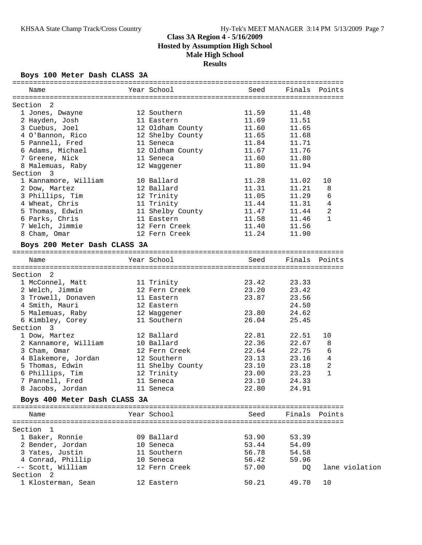### **Boys 100 Meter Dash CLASS 3A**

| Name                                    | Year School                                                     | Seed  | Finals Points |                |
|-----------------------------------------|-----------------------------------------------------------------|-------|---------------|----------------|
| Section 2                               |                                                                 |       |               |                |
| 1 Jones, Dwayne                         |                                                                 |       | 11.48         |                |
| 2 Hayden, Josh                          | 12 Southern 11.59<br>11 Eastern 11.69<br>12 Oldham County 11.60 |       | 11.51         |                |
| 3 Cuebus, Joel                          |                                                                 |       | 11.65         |                |
| 4 O'Bannon, Rico 12 Shelby County 11.65 |                                                                 |       | 11.68         |                |
| 5 Pannell, Fred 11 Seneca               |                                                                 | 11.84 | 11.71         |                |
| 6 Adams, Michael                        | 12 Oldham County<br>11 Seneca<br>12 Mars                        | 11.67 | 11.76         |                |
| 7 Greene, Nick                          |                                                                 | 11.60 | 11.80         |                |
| 8 Malemuas, Raby                        | 12 Waggener                                                     | 11.80 | 11.94         |                |
| Section 3                               |                                                                 |       |               |                |
| 1 Kannamore, William 10 Ballard         |                                                                 | 11.28 | 11.02         | 10             |
| 2 Dow, Martez                           | 12 Ballard                                                      | 11.31 | 11.21         | 8              |
| 3 Phillips, Tim                         |                                                                 | 11.05 | 11.29         | 6              |
| 4 Wheat, Chris                          | 12 Trinity<br>11 Trinity<br>11 Shelby County<br>11 Eastern      | 11.44 | 11.31         | 4              |
| 5 Thomas, Edwin                         |                                                                 | 11.47 | 11.44         | 2              |
| 6 Parks, Chris                          |                                                                 | 11.58 |               | 1              |
|                                         |                                                                 |       | 11.46         |                |
| 7 Welch, Jimmie                         | 12 Fern Creek                                                   | 11.40 | 11.56         |                |
| 8 Cham, Omar                            | 12 Fern Creek                                                   | 11.24 | 11.90         |                |
| Boys 200 Meter Dash CLASS 3A            |                                                                 |       |               |                |
| Name                                    | Year School                                                     | Seed  | Finals Points |                |
|                                         |                                                                 |       |               |                |
| Section 2                               |                                                                 |       |               |                |
| 1 McConnel, Matt                        | 11 Trinity<br>12 Fern Creek<br>11 Eastern                       | 23.42 | 23.33         |                |
| 2 Welch, Jimmie                         |                                                                 | 23.20 | 23.42         |                |
| 3 Trowell, Donaven                      |                                                                 | 23.87 | 23.56         |                |
| 4 Smith, Mauri                          | 12 Eastern                                                      |       | 24.50         |                |
| 5 Malemuas, Raby 12 Waggener 33.80      |                                                                 |       | 24.62         |                |
| 6 Kimbley, Corey 11 Southern            |                                                                 | 26.04 | 25.45         |                |
| Section 3                               |                                                                 |       |               |                |
| 1 Dow, Martez                           | 12 Ballard                                                      | 22.81 | 22.51         | 10             |
| 2 Kannamore, William                    | -<br>10 Ballard                                                 | 22.36 | 22.67         | 8              |
| 3 Cham, Omar                            | 12 Fern Creek                                                   | 22.64 | 22.75         | 6              |
| 4 Blakemore, Jordan 12 Southern         |                                                                 | 23.13 | 23.16         | 4              |
| 5 Thomas, Edwin                         |                                                                 |       | 23.18         | 2              |
| 6 Phillips, Tim                         | 11 Shelby County 23.10<br>12 Trinity 23.00<br>11 Seneca 23.10   |       | 23.23         | $\mathbf{1}$   |
| 7 Pannell, Fred                         |                                                                 |       |               |                |
|                                         | 11 Seneca                                                       | 23.10 | 24.33         |                |
| 8 Jacobs, Jordan                        | 11 Seneca                                                       | 22.80 | 24.91         |                |
| Boys 400 Meter Dash CLASS 3A            |                                                                 |       |               |                |
| Name                                    | Year School                                                     | Seed  | Finals Points |                |
|                                         |                                                                 |       |               |                |
| Section 1                               |                                                                 |       |               |                |
| 1 Baker, Ronnie                         | 09 Ballard                                                      | 53.90 | 53.39         |                |
| 2 Bender, Jordan                        | 10 Seneca                                                       | 53.44 | 54.09         |                |
| 3 Yates, Justin                         | 11 Southern                                                     | 56.78 | 54.58         |                |
| 4 Conrad, Phillip                       | 10 Seneca                                                       | 56.42 | 59.96         |                |
| -- Scott, William                       | 12 Fern Creek                                                   | 57.00 | DQ            | lane violation |
| Section 2                               |                                                                 |       |               |                |
| 1 Klosterman, Sean                      | 12 Eastern                                                      | 50.21 | 49.70         | 10             |
|                                         |                                                                 |       |               |                |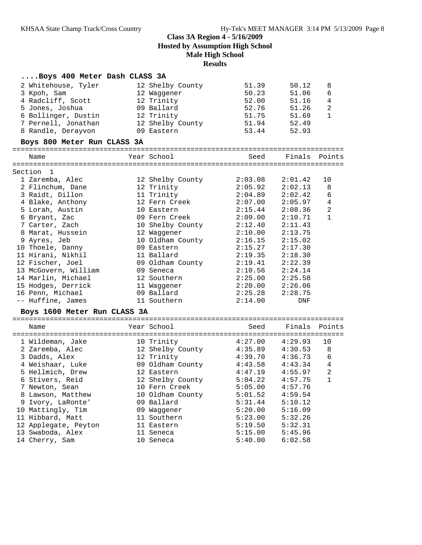# **....Boys 400 Meter Dash CLASS 3A**

| 2 Whitehouse, Tyler          | 12 Shelby County | 51.39   | 50.12              | 8              |
|------------------------------|------------------|---------|--------------------|----------------|
| 3 Kpoh, Sam                  | 12 Waggener      | 50.23   | 51.06              | 6              |
| 4 Radcliff, Scott            | 12 Trinity       | 52.00   | 51.16              | $\overline{4}$ |
| 5 Jones, Joshua              | 09 Ballard       | 52.76   | 51.26              | $\overline{c}$ |
| 6 Bollinger, Dustin          | 12 Trinity       | 51.75   | 51.69              | $\mathbf{1}$   |
| 7 Pernell, Jonathan          | 12 Shelby County | 51.94   | 52.49              |                |
| 8 Randle, Derayvon           | 09 Eastern       | 53.44   | 52.93              |                |
| Boys 800 Meter Run CLASS 3A  |                  |         |                    |                |
| Name                         | Year School      |         | Seed Finals Points |                |
| Section 1                    |                  |         |                    |                |
| 1 Zaremba, Alec              | 12 Shelby County | 2:03.08 | 2:01.42            | 10             |
| 2 Flinchum, Dane             | 12 Trinity       | 2:05.92 | 2:02.13            | 8              |
| 3 Raidt, Dillon              | 11 Trinity       | 2:04.89 | 2:02.42            | 6              |
| 4 Blake, Anthony             | 12 Fern Creek    | 2:07.00 | 2:05.97            | $\overline{4}$ |
| 5 Lorah, Austin              | 10 Eastern       | 2:15.44 | 2:08.36            | $\overline{a}$ |
| 6 Bryant, Zac                | 09 Fern Creek    | 2:09.00 | 2:10.71            | $\mathbf{1}$   |
| 7 Carter, Zach               | 10 Shelby County | 2:12.40 | 2:11.43            |                |
| 8 Marat, Hussein             | 12 Waqqener      | 2:10.00 | 2:13.75            |                |
| 9 Ayres, Jeb                 | 10 Oldham County | 2:16.15 | 2:15.02            |                |
| 10 Thoele, Danny             | 09 Eastern       | 2:15.27 | 2:17.30            |                |
| 11 Hirani, Nikhil            | 11 Ballard       | 2:19.35 | 2:18.30            |                |
| 12 Fischer, Joel             | 09 Oldham County | 2:19.41 | 2:22.39            |                |
| 13 McGovern, William         | 09 Seneca        | 2:10.56 | 2:24.14            |                |
| 14 Marlin, Michael           | 12 Southern      | 2:25.00 | 2:25.58            |                |
| 15 Hodges, Derrick           | 11 Waggener      | 2:20.00 | 2:26.06            |                |
| 16 Penn, Michael             | 09 Ballard       | 2:25.28 | 2:28.75            |                |
| -- Huffine, James            | 11 Southern      | 2:14.00 | DNF                |                |
| Boys 1600 Meter Run CLASS 3A |                  |         |                    |                |
| Name                         | Year School      | Seed    | Finals             | Points         |
| 1 Wildeman, Jake             | 10 Trinity       | 4:27.00 | 4:29.93            | 10             |
| 2 Zaremba, Alec              | 12 Shelby County | 4:35.89 | 4:30.53            | 8              |
| 3 Dadds, Alex                | 12 Trinity       | 4:39.70 | 4:36.73            | 6              |
| 4 Weishaar, Luke             | 09 Oldham County | 4:43.58 | 4:43.34            | $\overline{4}$ |
| 5 Hellmich, Drew             | 12 Eastern       | 4:47.19 | 4:55.97            | $\sqrt{2}$     |
| 6 Stivers, Reid              | 12 Shelby County | 5:04.22 | 4:57.75            | $\mathbf{1}$   |
| 7 Newton, Sean               | 10 Fern Creek    | 5:05.00 | 4:57.76            |                |
| 8 Lawson, Matthew            | 10 Oldham County | 5:01.52 | 4:59.54            |                |
| 9 Ivory, LaRonte'            | 09 Ballard       | 5:31.44 | 5:10.12            |                |
| 10 Mattingly, Tim            | 09 Waggener      | 5:20.00 | 5:16.09            |                |
| 11 Hibbard, Matt             | 11 Southern      | 5:23.00 | 5:32.26            |                |
| 12 Applegate, Peyton         | 11 Eastern       | 5:19.50 | 5:32.31            |                |
| 13 Swaboda, Alex             | 11 Seneca        | 5:15.00 | 5:45.96            |                |
| 14 Cherry, Sam               | 10 Seneca        | 5:40.00 | 6:02.58            |                |
|                              |                  |         |                    |                |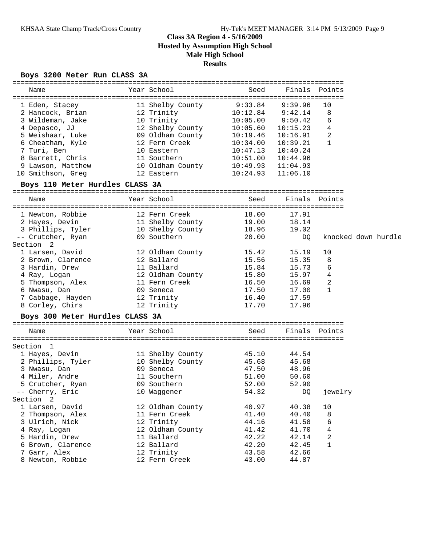### **Boys 3200 Meter Run CLASS 3A**

| Name              | Year School      | Seed     | Finals Points |    |
|-------------------|------------------|----------|---------------|----|
| 1 Eden, Stacey    | 11 Shelby County | 9:33.84  | 9:39.96       | 10 |
| 2 Hancock, Brian  | 12 Trinity       | 10:12.84 | 9:42.14       | 8  |
| 3 Wildeman, Jake  | 10 Trinity       | 10:05.00 | 9:50.42       | 6  |
| 4 Depasco, JJ     | 12 Shelby County | 10:05.60 | 10:15.23      | 4  |
| 5 Weishaar, Luke  | 09 Oldham County | 10:19.46 | 10:16.91      | 2  |
| 6 Cheatham, Kyle  | 12 Fern Creek    | 10:34.00 | 10:39.21      |    |
| 7 Turi, Ben       | 10 Eastern       | 10:47.13 | 10:40.24      |    |
| 8 Barrett, Chris  | 11 Southern      | 10:51.00 | 10:44.96      |    |
| 9 Lawson, Matthew | 10 Oldham County | 10:49.93 | 11:04.93      |    |
| 10 Smithson, Greg | 12 Eastern       | 10:24.93 | 11:06.10      |    |

### **Boys 110 Meter Hurdles CLASS 3A**

================================================================================ Name Year School Seed Finals Points ================================================================================ 1 Newton, Robbie 12 Fern Creek 18.00 17.91 2 Hayes, Devin 11 Shelby County 19.00 18.14 3 Phillips, Tyler 10 Shelby County 18.96 19.02 -- Crutcher, Ryan 09 Southern 20.00 DQ knocked down hurdle Section 2 1 Larsen, David 12 Oldham County 15.42 15.19 10 2 Brown, Clarence 12 Ballard 15.56 15.35 8 3 Hardin, Drew 11 Ballard 15.84 15.73 6 4 Ray, Logan 12 Oldham County 15.80 15.97 4 5 Thompson, Alex 11 Fern Creek 16.50 16.69 2 6 Nwasu, Dan 09 Seneca 17.50 17.00 1 7 Cabbage, Hayden 12 Trinity 16.40 17.59 8 Corley, Chirs 12 Trinity 17.70 17.96

### **Boys 300 Meter Hurdles CLASS 3A**

| Name              | Year School      | Seed  | Finals Points |         |
|-------------------|------------------|-------|---------------|---------|
|                   |                  |       |               |         |
| Section 1         |                  |       |               |         |
| 1 Hayes, Devin    | 11 Shelby County | 45.10 | 44.54         |         |
| 2 Phillips, Tyler | 10 Shelby County | 45.68 | 45.68         |         |
| 3 Nwasu, Dan      | 09 Seneca        | 47.50 | 48.96         |         |
| 4 Miler, Andre    | 11 Southern      | 51.00 | 50.60         |         |
| 5 Crutcher, Ryan  | 09 Southern      | 52.00 | 52.90         |         |
| -- Cherry, Eric   | 10 Waqqener      | 54.32 | DQ            | jewelry |
| Section 2         |                  |       |               |         |
| 1 Larsen, David   | 12 Oldham County | 40.97 | 40.38         | 10      |
| 2 Thompson, Alex  | 11 Fern Creek    | 41.40 | 40.40         | 8       |
| 3 Ulrich, Nick    | 12 Trinity       | 44.16 | 41.58         | 6       |
| 4 Ray, Logan      | 12 Oldham County | 41.42 | 41.70         | 4       |
| 5 Hardin, Drew    | 11 Ballard       | 42.22 | 42.14         | 2       |
| 6 Brown, Clarence | 12 Ballard       | 42.20 | 42.45         | 1       |
| 7 Garr, Alex      | 12 Trinity       | 43.58 | 42.66         |         |
| 8 Newton, Robbie  | 12 Fern Creek    | 43.00 | 44.87         |         |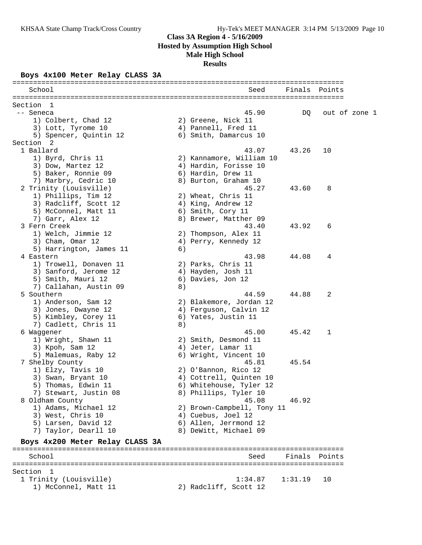### **Boys 4x100 Meter Relay CLASS 3A**

| School                          |    | Seed                       | Finals Points |        |               |
|---------------------------------|----|----------------------------|---------------|--------|---------------|
|                                 |    |                            |               |        |               |
| Section 1                       |    |                            |               |        |               |
| -- Seneca                       |    | 45.90                      | DQ            |        | out of zone 1 |
| 1) Colbert, Chad 12             |    | 2) Greene, Nick 11         |               |        |               |
| 3) Lott, Tyrome 10              |    | 4) Pannell, Fred 11        |               |        |               |
| 5) Spencer, Quintin 12          |    | 6) Smith, Damarcus 10      |               |        |               |
| Section 2                       |    |                            |               |        |               |
| 1 Ballard                       |    | 43.07                      | 43.26         | 10     |               |
| 1) Byrd, Chris 11               |    | 2) Kannamore, William 10   |               |        |               |
| 3) Dow, Martez 12               |    | 4) Hardin, Forisse 10      |               |        |               |
| 5) Baker, Ronnie 09             |    | 6) Hardin, Drew 11         |               |        |               |
| 7) Marbry, Cedric 10            |    | 8) Burton, Graham 10       |               |        |               |
| 2 Trinity (Louisville)          |    | 45.27                      | 43.60         | 8      |               |
| 1) Phillips, Tim 12             |    | 2) Wheat, Chris 11         |               |        |               |
| 3) Radcliff, Scott 12           |    | 4) King, Andrew 12         |               |        |               |
| 5) McConnel, Matt 11            |    | 6) Smith, Cory 11          |               |        |               |
| 7) Garr, Alex 12                |    | 8) Brewer, Matther 09      |               |        |               |
| 3 Fern Creek                    |    | 43.40                      | 43.92         | 6      |               |
| 1) Welch, Jimmie 12             |    | 2) Thompson, Alex 11       |               |        |               |
| 3) Cham, Omar 12                |    | 4) Perry, Kennedy 12       |               |        |               |
| 5) Harrington, James 11         | 6) |                            |               |        |               |
| 4 Eastern                       |    | 43.98                      | 44.08         | 4      |               |
| 1) Trowell, Donaven 11          |    | 2) Parks, Chris 11         |               |        |               |
| 3) Sanford, Jerome 12           |    | 4) Hayden, Josh 11         |               |        |               |
| 5) Smith, Mauri 12              |    | 6) Davies, Jon 12          |               |        |               |
| 7) Callahan, Austin 09          | 8) |                            |               |        |               |
| 5 Southern                      |    | 44.59                      | 44.88         | 2      |               |
| 1) Anderson, Sam 12             |    | 2) Blakemore, Jordan 12    |               |        |               |
| 3) Jones, Dwayne 12             |    | 4) Ferguson, Calvin 12     |               |        |               |
| 5) Kimbley, Corey 11            |    | 6) Yates, Justin 11        |               |        |               |
| 7) Cadlett, Chris 11            | 8) |                            |               |        |               |
| 6 Waggener                      |    | 45.00                      | 45.42         | 1      |               |
| 1) Wright, Shawn 11             |    | 2) Smith, Desmond 11       |               |        |               |
| 3) Kpoh, Sam 12                 |    | 4) Jeter, Lamar 11         |               |        |               |
| 5) Malemuas, Raby 12            |    | 6) Wright, Vincent 10      |               |        |               |
| 7 Shelby County                 |    | 45.81                      | 45.54         |        |               |
| 1) Elzy, Tavis 10               |    | 2) O'Bannon, Rico 12       |               |        |               |
| 3) Swan, Bryant 10              |    | 4) Cottrell, Quinten 10    |               |        |               |
| 5) Thomas, Edwin 11             |    | 6) Whitehouse, Tyler 12    |               |        |               |
| 7) Stewart, Justin 08           |    | 8) Phillips, Tyler 10      |               |        |               |
| 8 Oldham County                 |    | 45.08                      | 46.92         |        |               |
| 1) Adams, Michael 12            |    | 2) Brown-Campbell, Tony 11 |               |        |               |
| 3) West, Chris 10               |    | 4) Cuebus, Joel 12         |               |        |               |
| 5) Larsen, David 12             |    | 6) Allen, Jerrmond 12      |               |        |               |
| 7) Taylor, Dearll 10            |    | 8) DeWitt, Michael 09      |               |        |               |
| Boys 4x200 Meter Relay CLASS 3A |    |                            |               |        |               |
| School                          |    | Seed                       | Finals        | Points |               |
|                                 |    |                            |               |        |               |
| Section 1                       |    |                            |               |        |               |
| 1 Trinity (Louisville)          |    | 1:34.87                    | 1:31.19       | 10     |               |
| 1) McConnel, Matt 11            |    | 2) Radcliff, Scott 12      |               |        |               |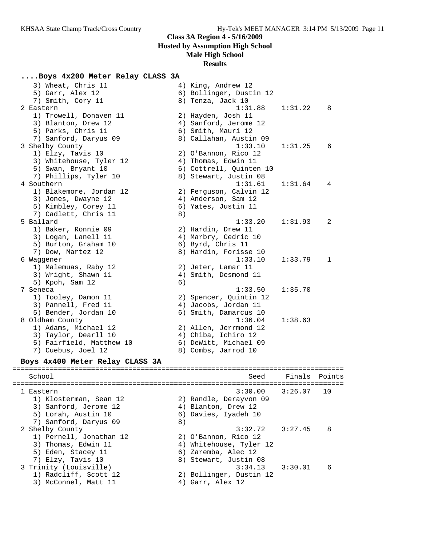### **Results**

## **....Boys 4x200 Meter Relay CLASS 3A**

| 3) Wheat, Chris 11<br>5) Garr, Alex 12 |    | 4) King, Andrew 12<br>6) Bollinger, Dustin 12 |            |        |
|----------------------------------------|----|-----------------------------------------------|------------|--------|
| 7) Smith, Cory 11                      |    | 8) Tenza, Jack 10                             |            |        |
| 2 Eastern                              |    | 1:31.88                                       | 1:31.22    | 8      |
| 1) Trowell, Donaven 11                 |    | 2) Hayden, Josh 11                            |            |        |
| 3) Blanton, Drew 12                    |    | 4) Sanford, Jerome 12                         |            |        |
| 5) Parks, Chris 11                     |    | 6) Smith, Mauri 12                            |            |        |
| 7) Sanford, Daryus 09                  |    | 8) Callahan, Austin 09                        |            |        |
| 3 Shelby County                        |    | 1:33.10                                       | 1:31.25    | 6      |
| 1) Elzy, Tavis 10                      |    | 2) O'Bannon, Rico 12                          |            |        |
| 3) Whitehouse, Tyler 12                |    | 4) Thomas, Edwin 11                           |            |        |
| 5) Swan, Bryant 10                     |    | 6) Cottrell, Quinten 10                       |            |        |
|                                        |    |                                               |            |        |
| 7) Phillips, Tyler 10                  |    | 8) Stewart, Justin 08                         |            |        |
| 4 Southern                             |    | 1:31.61                                       | 1:31.64    | 4      |
| 1) Blakemore, Jordan 12                |    | 2) Ferguson, Calvin 12                        |            |        |
| 3) Jones, Dwayne 12                    |    | 4) Anderson, Sam 12                           |            |        |
| 5) Kimbley, Corey 11                   |    | 6) Yates, Justin 11                           |            |        |
| 7) Cadlett, Chris 11                   | 8) |                                               |            |        |
| 5 Ballard                              |    | 1:33.20                                       | 1:31.93    | 2      |
| 1) Baker, Ronnie 09                    |    | 2) Hardin, Drew 11                            |            |        |
| 3) Logan, Lanell 11                    |    | 4) Marbry, Cedric 10                          |            |        |
| 5) Burton, Graham 10                   |    | 6) Byrd, Chris 11                             |            |        |
| 7) Dow, Martez 12                      |    | 8) Hardin, Forisse 10                         |            |        |
| 6 Waggener                             |    | 1:33.10                                       | 1:33.79    | 1      |
| 1) Malemuas, Raby 12                   |    | 2) Jeter, Lamar 11                            |            |        |
| 3) Wright, Shawn 11                    |    | 4) Smith, Desmond 11                          |            |        |
| 5) Kpoh, Sam 12                        | 6) |                                               |            |        |
| 7 Seneca                               |    | 1:33.50                                       | 1:35.70    |        |
| 1) Tooley, Damon 11                    |    | 2) Spencer, Quintin 12                        |            |        |
| 3) Pannell, Fred 11                    |    | 4) Jacobs, Jordan 11                          |            |        |
| 5) Bender, Jordan 10                   |    | 6) Smith, Damarcus 10                         |            |        |
| 8 Oldham County                        |    | 1:36.04                                       | 1:38.63    |        |
| 1) Adams, Michael 12                   |    | 2) Allen, Jerrmond 12                         |            |        |
| 3) Taylor, Dearll 10                   |    | 4) Chiba, Ichiro 12                           |            |        |
| 5) Fairfield, Matthew 10               |    | 6) DeWitt, Michael 09                         |            |        |
| 7) Cuebus, Joel 12                     |    | 8) Combs, Jarrod 10                           |            |        |
|                                        |    |                                               |            |        |
| Boys 4x400 Meter Relay CLASS 3A        |    |                                               |            |        |
| School                                 |    | Seed                                          | Finals     | Points |
|                                        |    |                                               |            |        |
| 1 Eastern                              |    | 3:30.00                                       | 3:26.07 10 |        |
| 1) Klosterman, Sean 12                 |    | 2) Randle, Derayvon 09                        |            |        |
| 3) Sanford, Jerome 12                  |    | 4) Blanton, Drew 12                           |            |        |
| 5) Lorah, Austin 10                    |    | 6) Davies, Iyadeh 10                          |            |        |
| 7) Sanford, Daryus 09                  | 8) |                                               |            |        |
| 2 Shelby County                        |    | 3:32.72                                       | 3:27.45    | 8      |
| 1) Pernell, Jonathan 12                |    | 2) O'Bannon, Rico 12                          |            |        |
| 3) Thomas, Edwin 11                    |    | 4) Whitehouse, Tyler 12                       |            |        |
| 5) Eden, Stacey 11                     |    | 6) Zaremba, Alec 12                           |            |        |
| 7) Elzy, Tavis 10                      |    | 8) Stewart, Justin 08                         |            |        |
| 3 Trinity (Louisville)                 |    | 3:34.13                                       | 3:30.01    | 6      |
| 1) Radcliff, Scott 12                  |    | 2) Bollinger, Dustin 12                       |            |        |
|                                        |    |                                               |            |        |

3) McConnel, Matt 11 4) Garr, Alex 12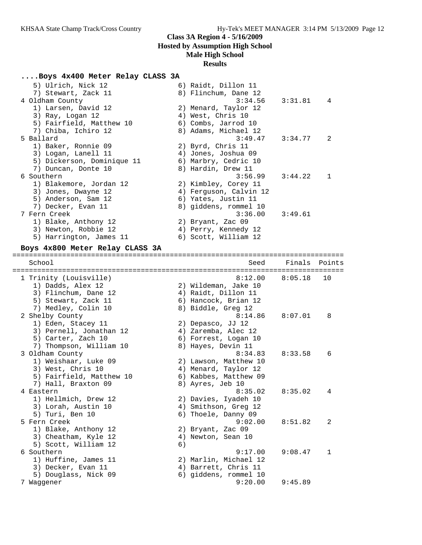## **....Boys 4x400 Meter Relay CLASS 3A**

| 5) Ulrich, Nick 12<br>7) Stewart, Zack 11<br>4 Oldham County<br>1) Larsen, David 12                                 | 6) Raidt, Dillon 11<br>8) Flinchum, Dane 12<br>3:34.56<br>2) Menard, Taylor 12                            | 3:31.81 | 4      |
|---------------------------------------------------------------------------------------------------------------------|-----------------------------------------------------------------------------------------------------------|---------|--------|
| 3) Ray, Logan 12<br>5) Fairfield, Matthew 10<br>7) Chiba, Ichiro 12<br>5 Ballard                                    | 4) West, Chris 10<br>6) Combs, Jarrod 10<br>8) Adams, Michael 12<br>3:49.47                               | 3:34.77 | 2      |
| 1) Baker, Ronnie 09<br>3) Logan, Lanell 11<br>5) Dickerson, Dominique 11<br>7) Duncan, Donte 10                     | 2) Byrd, Chris 11<br>4) Jones, Joshua 09<br>6) Marbry, Cedric 10<br>8) Hardin, Drew 11                    |         |        |
| 6 Southern<br>1) Blakemore, Jordan 12<br>3) Jones, Dwayne 12<br>5) Anderson, Sam 12<br>7) Decker, Evan 11           | 3:56.99<br>2) Kimbley, Corey 11<br>4) Ferguson, Calvin 12<br>6) Yates, Justin 11<br>8) giddens, rommel 10 | 3:44.22 | 1      |
| 7 Fern Creek<br>1) Blake, Anthony 12<br>3) Newton, Robbie 12<br>5) Harrington, James 11                             | 3:36.00<br>2) Bryant, Zac 09<br>4) Perry, Kennedy 12<br>6) Scott, William 12                              | 3:49.61 |        |
| Boys 4x800 Meter Relay CLASS 3A                                                                                     |                                                                                                           |         |        |
| School                                                                                                              | Seed                                                                                                      | Finals  | Points |
| 1 Trinity (Louisville)<br>1) Dadds, Alex 12                                                                         | 8:12.00<br>2) Wildeman, Jake 10                                                                           | 8:05.18 | 10     |
| 3) Flinchum, Dane 12<br>5) Stewart, Zack 11                                                                         | 4) Raidt, Dillon 11<br>6) Hancock, Brian 12                                                               |         |        |
| 7) Medley, Colin 10<br>2 Shelby County<br>1) Eden, Stacey 11<br>3) Pernell, Jonathan 12<br>5) Carter, Zach 10       | 8) Biddle, Greg 12<br>8:14.86<br>2) Depasco, JJ 12<br>4) Zaremba, Alec 12<br>6) Forrest, Logan 10         | 8:07.01 | 8      |
| 7) Thompson, William 10<br>3 Oldham County<br>1) Weishaar, Luke 09<br>3) West, Chris 10<br>5) Fairfield, Matthew 10 | 8) Hayes, Devin 11<br>8:34.83<br>2) Lawson, Matthew 10<br>4) Menard, Taylor 12<br>6) Kabbes, Matthew 09   | 8:33.58 | 6      |
| 7) Hall, Braxton 09<br>4 Eastern<br>1) Hellmich, Drew 12<br>3) Lorah, Austin 10                                     | 8) Ayres, Jeb 10<br>8:35.02<br>2) Davies, Iyadeh 10<br>4) Smithson, Greg 12                               | 8:35.02 | 4      |
| 5) Turi, Ben 10<br>5 Fern Creek<br>1) Blake, Anthony 12<br>3) Cheatham, Kyle 12                                     | 6) Thoele, Danny 09<br>9:02.00<br>2) Bryant, Zac 09<br>4) Newton, Sean 10                                 | 8:51.82 | 2      |
| 5) Scott, William 12<br>6 Southern<br>1) Huffine, James 11<br>3) Decker, Evan 11<br>5) Douglass, Nick 09            | 6)<br>9:17.00<br>2) Marlin, Michael 12<br>4) Barrett, Chris 11<br>6) giddens, rommel 10                   | 9:08.47 | 1      |